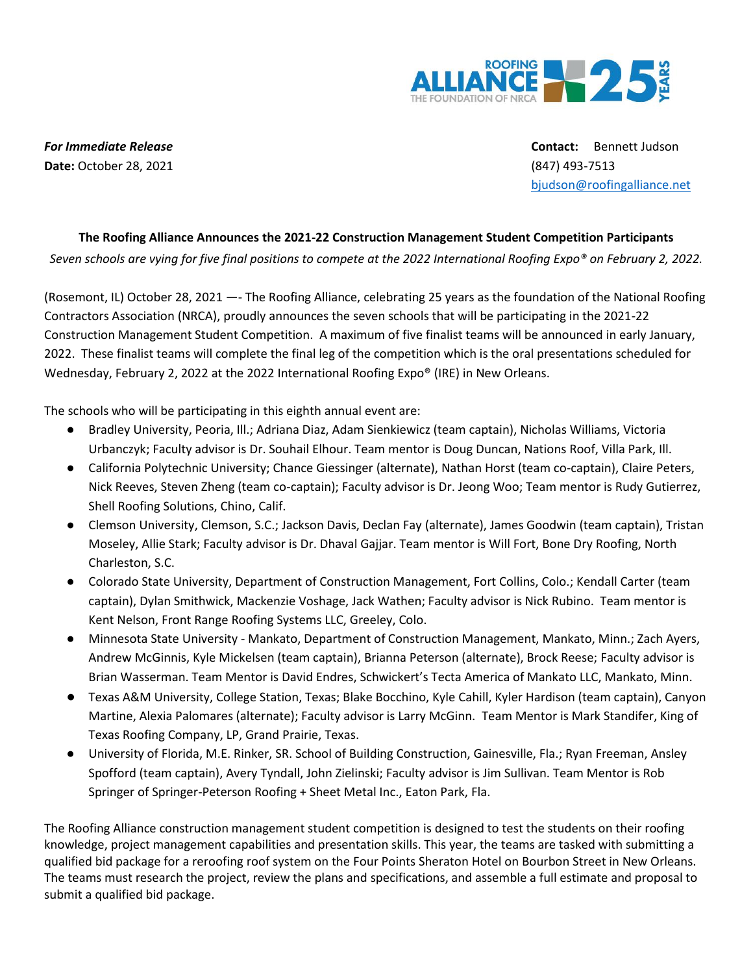

**Date:** October 28, 2021 (847) 493-7513

*For Immediate Release* **Contact:** Bennett Judson [bjudson@roofingalliance.net](mailto:bjudson@nrca.net)

## **The Roofing Alliance Announces the 2021-22 Construction Management Student Competition Participants**

*Seven schools are vying for five final positions to compete at the 2022 International Roofing Expo® on February 2, 2022.*

(Rosemont, IL) October 28, 2021 —- The Roofing Alliance, celebrating 25 years as the foundation of the National Roofing Contractors Association (NRCA), proudly announces the seven schools that will be participating in the 2021-22 Construction Management Student Competition. A maximum of five finalist teams will be announced in early January, 2022. These finalist teams will complete the final leg of the competition which is the oral presentations scheduled for Wednesday, February 2, 2022 at the 2022 International Roofing Expo® (IRE) in New Orleans.

The schools who will be participating in this eighth annual event are:

- Bradley University, Peoria, Ill.; Adriana Diaz, Adam Sienkiewicz (team captain), Nicholas Williams, Victoria Urbanczyk; Faculty advisor is Dr. Souhail Elhour. Team mentor is Doug Duncan, Nations Roof, Villa Park, Ill.
- California Polytechnic University; Chance Giessinger (alternate), Nathan Horst (team co-captain), Claire Peters, Nick Reeves, Steven Zheng (team co-captain); Faculty advisor is Dr. Jeong Woo; Team mentor is Rudy Gutierrez, Shell Roofing Solutions, Chino, Calif.
- Clemson University, Clemson, S.C.; Jackson Davis, Declan Fay (alternate), James Goodwin (team captain), Tristan Moseley, Allie Stark; Faculty advisor is Dr. Dhaval Gajjar. Team mentor is Will Fort, Bone Dry Roofing, North Charleston, S.C.
- Colorado State University, Department of Construction Management, Fort Collins, Colo.; Kendall Carter (team captain), Dylan Smithwick, Mackenzie Voshage, Jack Wathen; Faculty advisor is Nick Rubino. Team mentor is Kent Nelson, Front Range Roofing Systems LLC, Greeley, Colo.
- Minnesota State University Mankato, Department of Construction Management, Mankato, Minn.; Zach Ayers, Andrew McGinnis, Kyle Mickelsen (team captain), Brianna Peterson (alternate), Brock Reese; Faculty advisor is Brian Wasserman. Team Mentor is David Endres, Schwickert's Tecta America of Mankato LLC, Mankato, Minn.
- Texas A&M University, College Station, Texas; Blake Bocchino, Kyle Cahill, Kyler Hardison (team captain), Canyon Martine, Alexia Palomares (alternate); Faculty advisor is Larry McGinn. Team Mentor is Mark Standifer, King of Texas Roofing Company, LP, Grand Prairie, Texas.
- University of Florida, M.E. Rinker, SR. School of Building Construction, Gainesville, Fla.; Ryan Freeman, Ansley Spofford (team captain), Avery Tyndall, John Zielinski; Faculty advisor is Jim Sullivan. Team Mentor is Rob Springer of Springer-Peterson Roofing + Sheet Metal Inc., Eaton Park, Fla.

The Roofing Alliance construction management student competition is designed to test the students on their roofing knowledge, project management capabilities and presentation skills. This year, the teams are tasked with submitting a qualified bid package for a reroofing roof system on the Four Points Sheraton Hotel on Bourbon Street in New Orleans. The teams must research the project, review the plans and specifications, and assemble a full estimate and proposal to submit a qualified bid package.